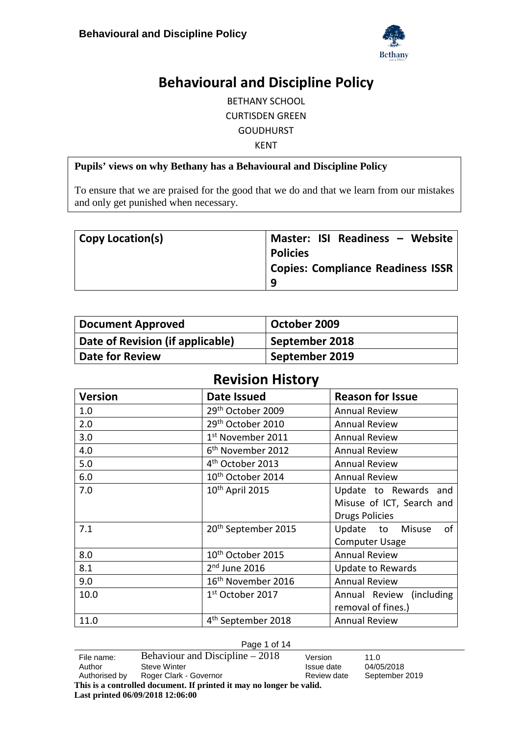

# **Behavioural and Discipline Policy**

BETHANY SCHOOL CURTISDEN GREEN GOUDHURST KENT

#### **Pupils' views on why Bethany has a Behavioural and Discipline Policy**

To ensure that we are praised for the good that we do and that we learn from our mistakes and only get punished when necessary.

| <b>Copy Location(s)</b> | Master: ISI Readiness - Website          |
|-------------------------|------------------------------------------|
|                         | <b>Policies</b>                          |
|                         | <b>Copies: Compliance Readiness ISSR</b> |
|                         | q                                        |

| <b>Document Approved</b>         | October 2009   |
|----------------------------------|----------------|
| Date of Revision (if applicable) | September 2018 |
| <b>Date for Review</b>           | September 2019 |

# **Revision History**

| <b>Version</b> | <b>Date Issued</b>              | <b>Reason for Issue</b>      |
|----------------|---------------------------------|------------------------------|
| 1.0            | 29 <sup>th</sup> October 2009   | <b>Annual Review</b>         |
| 2.0            | 29 <sup>th</sup> October 2010   | <b>Annual Review</b>         |
| 3.0            | 1 <sup>st</sup> November 2011   | <b>Annual Review</b>         |
| 4.0            | 6 <sup>th</sup> November 2012   | <b>Annual Review</b>         |
| 5.0            | 4 <sup>th</sup> October 2013    | <b>Annual Review</b>         |
| 6.0            | 10 <sup>th</sup> October 2014   | <b>Annual Review</b>         |
| 7.0            | 10 <sup>th</sup> April 2015     | Update to Rewards and        |
|                |                                 | Misuse of ICT, Search and    |
|                |                                 | <b>Drugs Policies</b>        |
| 7.1            | 20 <sup>th</sup> September 2015 | of<br>Update to Misuse       |
|                |                                 | <b>Computer Usage</b>        |
| 8.0            | 10 <sup>th</sup> October 2015   | <b>Annual Review</b>         |
| 8.1            | $2nd$ June 2016                 | Update to Rewards            |
| 9.0            | 16 <sup>th</sup> November 2016  | <b>Annual Review</b>         |
| 10.0           | 1 <sup>st</sup> October 2017    | (including)<br>Annual Review |
|                |                                 | removal of fines.)           |
| 11.0           | 4 <sup>th</sup> September 2018  | <b>Annual Review</b>         |

#### Page 1 of 14

**Last printed 06/09/2018 12:06:00**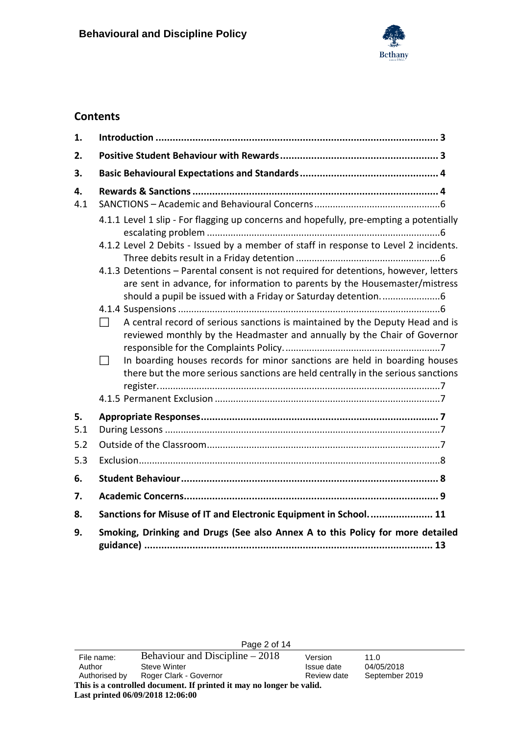

## **Contents**

| 1.        |                                                                                                                                                                                                                                                                                                                                                                                                                                                                                                               |
|-----------|---------------------------------------------------------------------------------------------------------------------------------------------------------------------------------------------------------------------------------------------------------------------------------------------------------------------------------------------------------------------------------------------------------------------------------------------------------------------------------------------------------------|
| 2.        |                                                                                                                                                                                                                                                                                                                                                                                                                                                                                                               |
| 3.        |                                                                                                                                                                                                                                                                                                                                                                                                                                                                                                               |
| 4.<br>4.1 | 4.1.1 Level 1 slip - For flagging up concerns and hopefully, pre-empting a potentially<br>4.1.2 Level 2 Debits - Issued by a member of staff in response to Level 2 incidents.                                                                                                                                                                                                                                                                                                                                |
|           | 4.1.3 Detentions - Parental consent is not required for detentions, however, letters<br>are sent in advance, for information to parents by the Housemaster/mistress<br>A central record of serious sanctions is maintained by the Deputy Head and is<br>$\perp$<br>reviewed monthly by the Headmaster and annually by the Chair of Governor<br>In boarding houses records for minor sanctions are held in boarding houses<br>there but the more serious sanctions are held centrally in the serious sanctions |
| 5.<br>5.1 |                                                                                                                                                                                                                                                                                                                                                                                                                                                                                                               |
| 5.2       |                                                                                                                                                                                                                                                                                                                                                                                                                                                                                                               |
| 5.3       |                                                                                                                                                                                                                                                                                                                                                                                                                                                                                                               |
| 6.        |                                                                                                                                                                                                                                                                                                                                                                                                                                                                                                               |
| 7.        |                                                                                                                                                                                                                                                                                                                                                                                                                                                                                                               |
| 8.        | Sanctions for Misuse of IT and Electronic Equipment in School 11                                                                                                                                                                                                                                                                                                                                                                                                                                              |
| 9.        | Smoking, Drinking and Drugs (See also Annex A to this Policy for more detailed                                                                                                                                                                                                                                                                                                                                                                                                                                |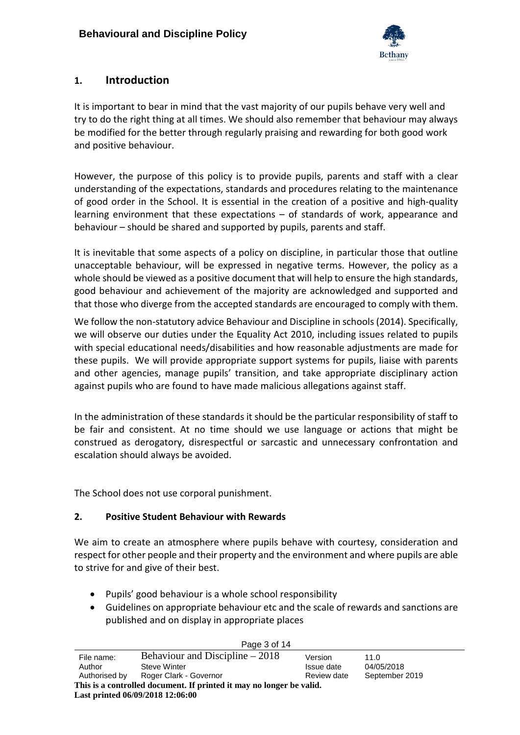

## <span id="page-2-0"></span>**1. Introduction**

It is important to bear in mind that the vast majority of our pupils behave very well and try to do the right thing at all times. We should also remember that behaviour may always be modified for the better through regularly praising and rewarding for both good work and positive behaviour.

However, the purpose of this policy is to provide pupils, parents and staff with a clear understanding of the expectations, standards and procedures relating to the maintenance of good order in the School. It is essential in the creation of a positive and high-quality learning environment that these expectations – of standards of work, appearance and behaviour – should be shared and supported by pupils, parents and staff.

It is inevitable that some aspects of a policy on discipline, in particular those that outline unacceptable behaviour, will be expressed in negative terms. However, the policy as a whole should be viewed as a positive document that will help to ensure the high standards, good behaviour and achievement of the majority are acknowledged and supported and that those who diverge from the accepted standards are encouraged to comply with them.

We follow the non-statutory advice Behaviour and Discipline in schools (2014). Specifically, we will observe our duties under the Equality Act 2010, including issues related to pupils with special educational needs/disabilities and how reasonable adjustments are made for these pupils. We will provide appropriate support systems for pupils, liaise with parents and other agencies, manage pupils' transition, and take appropriate disciplinary action against pupils who are found to have made malicious allegations against staff.

In the administration of these standards it should be the particular responsibility of staff to be fair and consistent. At no time should we use language or actions that might be construed as derogatory, disrespectful or sarcastic and unnecessary confrontation and escalation should always be avoided.

<span id="page-2-1"></span>The School does not use corporal punishment.

#### **2. Positive Student Behaviour with Rewards**

We aim to create an atmosphere where pupils behave with courtesy, consideration and respect for other people and their property and the environment and where pupils are able to strive for and give of their best.

- Pupils' good behaviour is a whole school responsibility
- Guidelines on appropriate behaviour etc and the scale of rewards and sanctions are published and on display in appropriate places

Page 3 of 14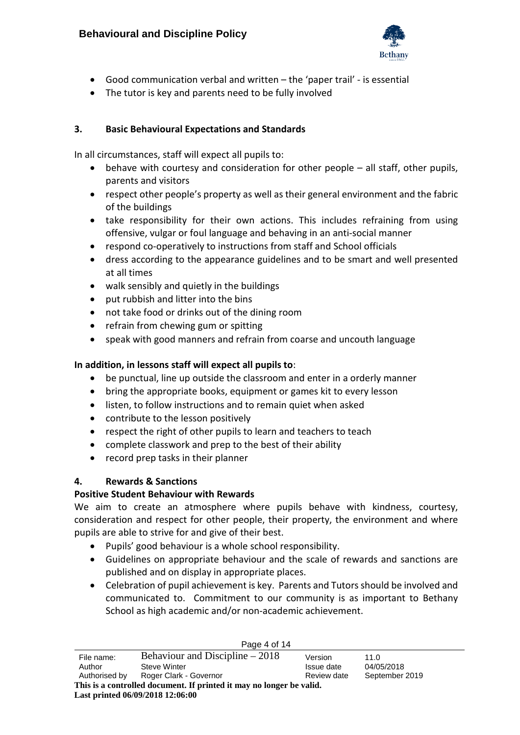

- Good communication verbal and written the 'paper trail' is essential
- The tutor is key and parents need to be fully involved

#### <span id="page-3-0"></span>**3. Basic Behavioural Expectations and Standards**

In all circumstances, staff will expect all pupils to:

- behave with courtesy and consideration for other people all staff, other pupils, parents and visitors
- respect other people's property as well as their general environment and the fabric of the buildings
- take responsibility for their own actions. This includes refraining from using offensive, vulgar or foul language and behaving in an anti-social manner
- respond co-operatively to instructions from staff and School officials
- dress according to the appearance guidelines and to be smart and well presented at all times
- walk sensibly and quietly in the buildings
- put rubbish and litter into the bins
- not take food or drinks out of the dining room
- refrain from chewing gum or spitting
- speak with good manners and refrain from coarse and uncouth language

#### **In addition, in lessons staff will expect all pupils to**:

- be punctual, line up outside the classroom and enter in a orderly manner
- bring the appropriate books, equipment or games kit to every lesson
- listen, to follow instructions and to remain quiet when asked
- contribute to the lesson positively
- respect the right of other pupils to learn and teachers to teach
- complete classwork and prep to the best of their ability
- record prep tasks in their planner

#### <span id="page-3-1"></span>**4. Rewards & Sanctions**

## **Positive Student Behaviour with Rewards**

We aim to create an atmosphere where pupils behave with kindness, courtesy, consideration and respect for other people, their property, the environment and where pupils are able to strive for and give of their best.

- Pupils' good behaviour is a whole school responsibility.
- Guidelines on appropriate behaviour and the scale of rewards and sanctions are published and on display in appropriate places.
- Celebration of pupil achievement is key. Parents and Tutors should be involved and communicated to. Commitment to our community is as important to Bethany School as high academic and/or non-academic achievement.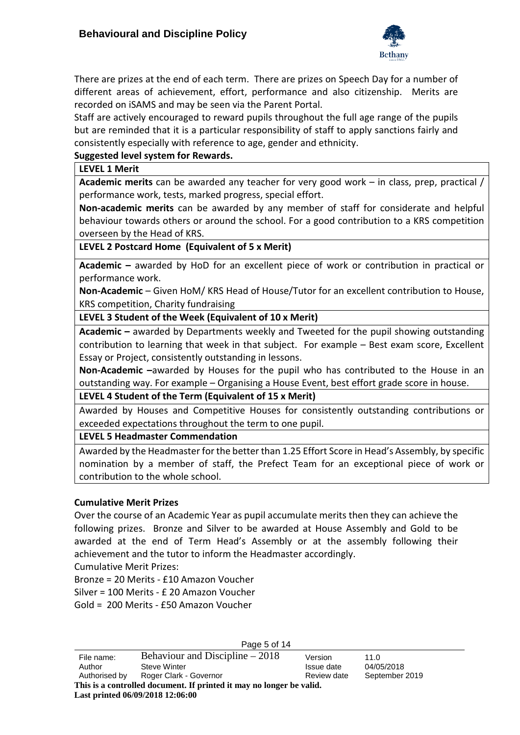

There are prizes at the end of each term. There are prizes on Speech Day for a number of different areas of achievement, effort, performance and also citizenship. Merits are recorded on iSAMS and may be seen via the Parent Portal.

Staff are actively encouraged to reward pupils throughout the full age range of the pupils but are reminded that it is a particular responsibility of staff to apply sanctions fairly and consistently especially with reference to age, gender and ethnicity.

#### **Suggested level system for Rewards.**

**LEVEL 1 Merit**

**Academic merits** can be awarded any teacher for very good work – in class, prep, practical / performance work, tests, marked progress, special effort.

**Non-academic merits** can be awarded by any member of staff for considerate and helpful behaviour towards others or around the school. For a good contribution to a KRS competition overseen by the Head of KRS.

#### **LEVEL 2 Postcard Home (Equivalent of 5 x Merit)**

**Academic –** awarded by HoD for an excellent piece of work or contribution in practical or performance work.

**Non-Academic** – Given HoM/ KRS Head of House/Tutor for an excellent contribution to House, KRS competition, Charity fundraising

#### **LEVEL 3 Student of the Week (Equivalent of 10 x Merit)**

**Academic –** awarded by Departments weekly and Tweeted for the pupil showing outstanding contribution to learning that week in that subject. For example – Best exam score, Excellent Essay or Project, consistently outstanding in lessons.

**Non-Academic –**awarded by Houses for the pupil who has contributed to the House in an outstanding way. For example – Organising a House Event, best effort grade score in house.

#### **LEVEL 4 Student of the Term (Equivalent of 15 x Merit)**

Awarded by Houses and Competitive Houses for consistently outstanding contributions or exceeded expectations throughout the term to one pupil.

#### **LEVEL 5 Headmaster Commendation**

Awarded by the Headmaster for the better than 1.25 Effort Score in Head's Assembly, by specific nomination by a member of staff, the Prefect Team for an exceptional piece of work or contribution to the whole school.

#### **Cumulative Merit Prizes**

Over the course of an Academic Year as pupil accumulate merits then they can achieve the following prizes. Bronze and Silver to be awarded at House Assembly and Gold to be awarded at the end of Term Head's Assembly or at the assembly following their achievement and the tutor to inform the Headmaster accordingly.

Cumulative Merit Prizes:

Bronze = 20 Merits - £10 Amazon Voucher

Silver = 100 Merits - £ 20 Amazon Voucher

Gold = 200 Merits - £50 Amazon Voucher

Page 5 of 14 File name: Behaviour and Discipline  $-2018$  Version 11.0 Author Steve Winter **Issue date** 04/05/2018 Authorised by Roger Clark - Governor Review date September 2019 **This is a controlled document. If printed it may no longer be valid. Last printed 06/09/2018 12:06:00**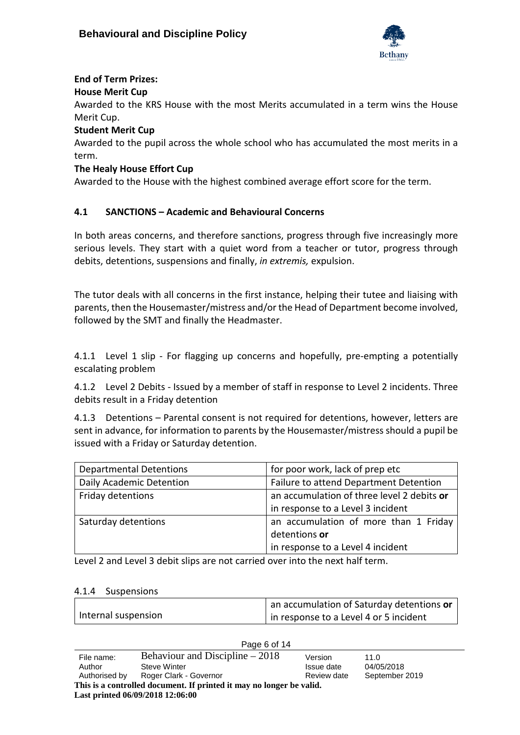

## **End of Term Prizes:**

#### **House Merit Cup**

Awarded to the KRS House with the most Merits accumulated in a term wins the House Merit Cup.

#### **Student Merit Cup**

Awarded to the pupil across the whole school who has accumulated the most merits in a term.

#### **The Healy House Effort Cup**

Awarded to the House with the highest combined average effort score for the term.

## <span id="page-5-0"></span>**4.1 SANCTIONS – Academic and Behavioural Concerns**

In both areas concerns, and therefore sanctions, progress through five increasingly more serious levels. They start with a quiet word from a teacher or tutor, progress through debits, detentions, suspensions and finally, *in extremis,* expulsion.

The tutor deals with all concerns in the first instance, helping their tutee and liaising with parents, then the Housemaster/mistress and/or the Head of Department become involved, followed by the SMT and finally the Headmaster.

<span id="page-5-1"></span>4.1.1 Level 1 slip - For flagging up concerns and hopefully, pre-empting a potentially escalating problem

<span id="page-5-2"></span>4.1.2 Level 2 Debits - Issued by a member of staff in response to Level 2 incidents. Three debits result in a Friday detention

<span id="page-5-3"></span>4.1.3 Detentions – Parental consent is not required for detentions, however, letters are sent in advance, for information to parents by the Housemaster/mistress should a pupil be issued with a Friday or Saturday detention.

| <b>Departmental Detentions</b> | for poor work, lack of prep etc            |  |
|--------------------------------|--------------------------------------------|--|
| Daily Academic Detention       | Failure to attend Department Detention     |  |
| Friday detentions              | an accumulation of three level 2 debits or |  |
|                                | in response to a Level 3 incident          |  |
| Saturday detentions            | an accumulation of more than 1 Friday      |  |
|                                | detentions or                              |  |
|                                | in response to a Level 4 incident          |  |

Level 2 and Level 3 debit slips are not carried over into the next half term.

#### <span id="page-5-4"></span>4.1.4 Suspensions

|                     | an accumulation of Saturday detentions or |
|---------------------|-------------------------------------------|
| Internal suspension | in response to a Level 4 or 5 incident    |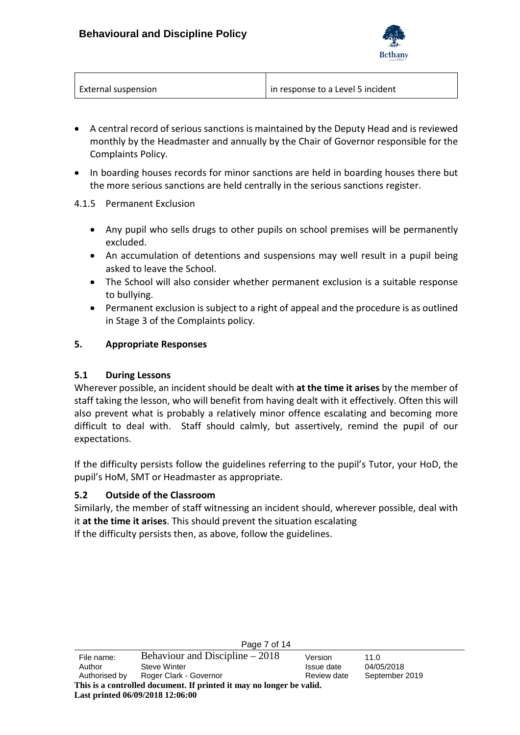

| <b>External suspension</b> | in response to a Level 5 incident |
|----------------------------|-----------------------------------|

- <span id="page-6-0"></span>• A central record of serious sanctions is maintained by the Deputy Head and is reviewed monthly by the Headmaster and annually by the Chair of Governor responsible for the Complaints Policy.
- <span id="page-6-1"></span>• In boarding houses records for minor sanctions are held in boarding houses there but the more serious sanctions are held centrally in the serious sanctions register.

#### <span id="page-6-2"></span>4.1.5 Permanent Exclusion

- Any pupil who sells drugs to other pupils on school premises will be permanently excluded.
- An accumulation of detentions and suspensions may well result in a pupil being asked to leave the School.
- The School will also consider whether permanent exclusion is a suitable response to bullying.
- Permanent exclusion is subject to a right of appeal and the procedure is as outlined in Stage 3 of the Complaints policy.

#### <span id="page-6-3"></span>**5. Appropriate Responses**

#### <span id="page-6-4"></span>**5.1 During Lessons**

Wherever possible, an incident should be dealt with **at the time it arises** by the member of staff taking the lesson, who will benefit from having dealt with it effectively. Often this will also prevent what is probably a relatively minor offence escalating and becoming more difficult to deal with. Staff should calmly, but assertively, remind the pupil of our expectations.

If the difficulty persists follow the guidelines referring to the pupil's Tutor, your HoD, the pupil's HoM, SMT or Headmaster as appropriate.

#### <span id="page-6-5"></span>**5.2 Outside of the Classroom**

Similarly, the member of staff witnessing an incident should, wherever possible, deal with it **at the time it arises**. This should prevent the situation escalating If the difficulty persists then, as above, follow the guidelines.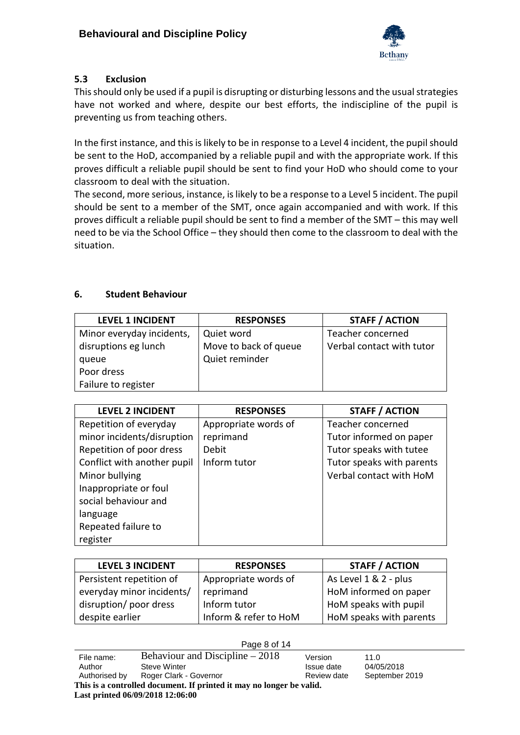

## <span id="page-7-0"></span>**5.3 Exclusion**

This should only be used if a pupil is disrupting or disturbing lessons and the usual strategies have not worked and where, despite our best efforts, the indiscipline of the pupil is preventing us from teaching others.

In the first instance, and this is likely to be in response to a Level 4 incident, the pupil should be sent to the HoD, accompanied by a reliable pupil and with the appropriate work. If this proves difficult a reliable pupil should be sent to find your HoD who should come to your classroom to deal with the situation.

The second, more serious, instance, is likely to be a response to a Level 5 incident. The pupil should be sent to a member of the SMT, once again accompanied and with work. If this proves difficult a reliable pupil should be sent to find a member of the SMT – this may well need to be via the School Office – they should then come to the classroom to deal with the situation.

## <span id="page-7-1"></span>**6. Student Behaviour**

| <b>LEVEL 1 INCIDENT</b>   | <b>RESPONSES</b>      | <b>STAFF / ACTION</b>     |
|---------------------------|-----------------------|---------------------------|
| Minor everyday incidents, | Quiet word            | Teacher concerned         |
| disruptions eg lunch      | Move to back of queue | Verbal contact with tutor |
| queue                     | Quiet reminder        |                           |
| Poor dress                |                       |                           |
| Failure to register       |                       |                           |

| <b>LEVEL 2 INCIDENT</b>     | <b>RESPONSES</b>     | <b>STAFF / ACTION</b>     |
|-----------------------------|----------------------|---------------------------|
| Repetition of everyday      | Appropriate words of | Teacher concerned         |
| minor incidents/disruption  | reprimand            | Tutor informed on paper   |
| Repetition of poor dress    | Debit                | Tutor speaks with tutee   |
| Conflict with another pupil | Inform tutor         | Tutor speaks with parents |
| Minor bullying              |                      | Verbal contact with HoM   |
| Inappropriate or foul       |                      |                           |
| social behaviour and        |                      |                           |
| language                    |                      |                           |
| Repeated failure to         |                      |                           |
| register                    |                      |                           |

| <b>LEVEL 3 INCIDENT</b>   | <b>RESPONSES</b>      | <b>STAFF / ACTION</b>   |
|---------------------------|-----------------------|-------------------------|
| Persistent repetition of  | Appropriate words of  | As Level 1 & 2 - plus   |
| everyday minor incidents/ | reprimand             | HoM informed on paper   |
| disruption/ poor dress    | Inform tutor          | HoM speaks with pupil   |
| despite earlier           | Inform & refer to HoM | HoM speaks with parents |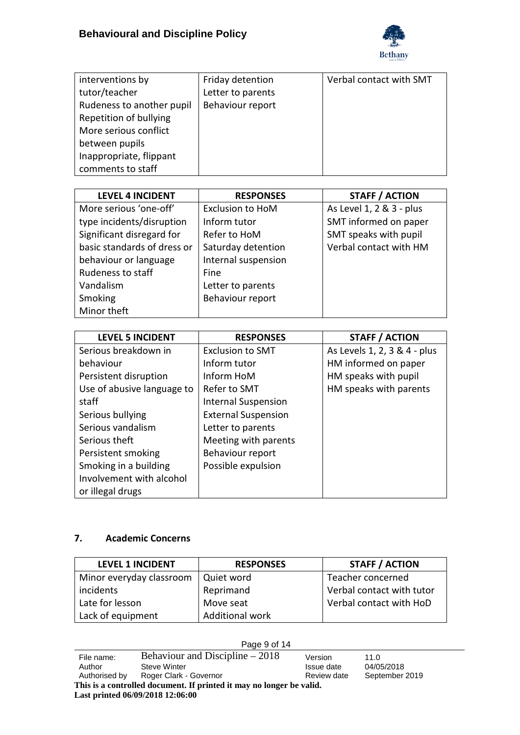

| interventions by          | Friday detention  | Verbal contact with SMT |
|---------------------------|-------------------|-------------------------|
| tutor/teacher             | Letter to parents |                         |
| Rudeness to another pupil | Behaviour report  |                         |
| Repetition of bullying    |                   |                         |
| More serious conflict     |                   |                         |
| between pupils            |                   |                         |
| Inappropriate, flippant   |                   |                         |
| comments to staff         |                   |                         |

| <b>LEVEL 4 INCIDENT</b>     | <b>RESPONSES</b>        | <b>STAFF / ACTION</b>    |
|-----------------------------|-------------------------|--------------------------|
| More serious 'one-off'      | <b>Exclusion to HoM</b> | As Level 1, 2 & 3 - plus |
| type incidents/disruption   | Inform tutor            | SMT informed on paper    |
| Significant disregard for   | Refer to HoM            | SMT speaks with pupil    |
| basic standards of dress or | Saturday detention      | Verbal contact with HM   |
| behaviour or language       | Internal suspension     |                          |
| Rudeness to staff           | Fine                    |                          |
| Vandalism                   | Letter to parents       |                          |
| Smoking                     | Behaviour report        |                          |
| Minor theft                 |                         |                          |

| <b>LEVEL 5 INCIDENT</b>    | <b>RESPONSES</b>           | <b>STAFF / ACTION</b>        |
|----------------------------|----------------------------|------------------------------|
| Serious breakdown in       | <b>Exclusion to SMT</b>    | As Levels 1, 2, 3 & 4 - plus |
| behaviour                  | Inform tutor               | HM informed on paper         |
| Persistent disruption      | Inform HoM                 | HM speaks with pupil         |
| Use of abusive language to | Refer to SMT               | HM speaks with parents       |
| staff                      | <b>Internal Suspension</b> |                              |
| Serious bullying           | <b>External Suspension</b> |                              |
| Serious vandalism          | Letter to parents          |                              |
| Serious theft              | Meeting with parents       |                              |
| Persistent smoking         | Behaviour report           |                              |
| Smoking in a building      | Possible expulsion         |                              |
| Involvement with alcohol   |                            |                              |
| or illegal drugs           |                            |                              |

## <span id="page-8-0"></span>**7. Academic Concerns**

| <b>LEVEL 1 INCIDENT</b>  | <b>RESPONSES</b> | <b>STAFF / ACTION</b>     |
|--------------------------|------------------|---------------------------|
| Minor everyday classroom | Quiet word       | Teacher concerned         |
| incidents                | Reprimand        | Verbal contact with tutor |
| Late for lesson          | Move seat        | Verbal contact with HoD   |
| Lack of equipment        | Additional work  |                           |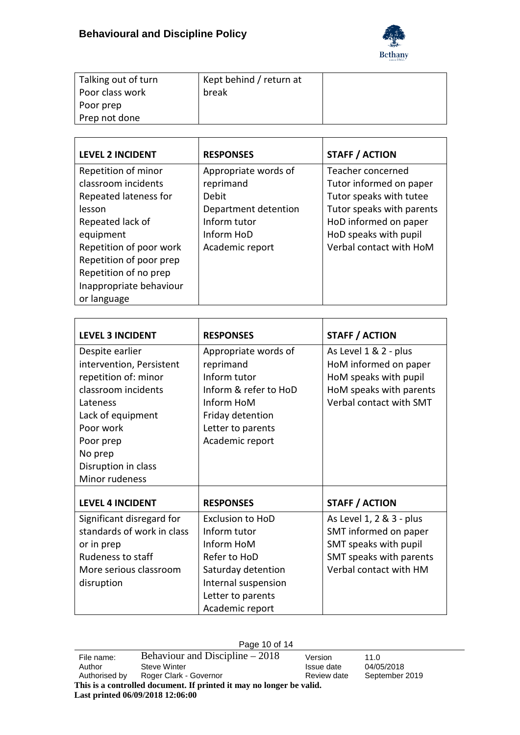

| Talking out of turn | Kept behind / return at |  |
|---------------------|-------------------------|--|
| Poor class work     | break                   |  |
| Poor prep           |                         |  |
| Prep not done       |                         |  |

| <b>LEVEL 2 INCIDENT</b> | <b>RESPONSES</b>     | <b>STAFF / ACTION</b>     |
|-------------------------|----------------------|---------------------------|
| Repetition of minor     | Appropriate words of | Teacher concerned         |
| classroom incidents     | reprimand            | Tutor informed on paper   |
| Repeated lateness for   | Debit                | Tutor speaks with tutee   |
| lesson                  | Department detention | Tutor speaks with parents |
| Repeated lack of        | Inform tutor         | HoD informed on paper     |
| equipment               | Inform HoD           | HoD speaks with pupil     |
| Repetition of poor work | Academic report      | Verbal contact with HoM   |
| Repetition of poor prep |                      |                           |
| Repetition of no prep   |                      |                           |
| Inappropriate behaviour |                      |                           |
| or language             |                      |                           |

| <b>LEVEL 3 INCIDENT</b>    | <b>RESPONSES</b>        | <b>STAFF / ACTION</b>    |
|----------------------------|-------------------------|--------------------------|
| Despite earlier            | Appropriate words of    | As Level 1 & 2 - plus    |
| intervention, Persistent   | reprimand               | HoM informed on paper    |
| repetition of: minor       | Inform tutor            | HoM speaks with pupil    |
| classroom incidents        | Inform & refer to HoD   | HoM speaks with parents  |
| Lateness                   | Inform HoM              | Verbal contact with SMT  |
| Lack of equipment          | Friday detention        |                          |
| Poor work                  | Letter to parents       |                          |
| Poor prep                  | Academic report         |                          |
| No prep                    |                         |                          |
| Disruption in class        |                         |                          |
| Minor rudeness             |                         |                          |
|                            |                         |                          |
| <b>LEVEL 4 INCIDENT</b>    | <b>RESPONSES</b>        | <b>STAFF / ACTION</b>    |
| Significant disregard for  | <b>Exclusion to HoD</b> | As Level 1, 2 & 3 - plus |
| standards of work in class | Inform tutor            | SMT informed on paper    |
| or in prep                 | Inform HoM              | SMT speaks with pupil    |
| Rudeness to staff          | Refer to HoD            | SMT speaks with parents  |
| More serious classroom     | Saturday detention      | Verbal contact with HM   |
| disruption                 | Internal suspension     |                          |
|                            | Letter to parents       |                          |
|                            | Academic report         |                          |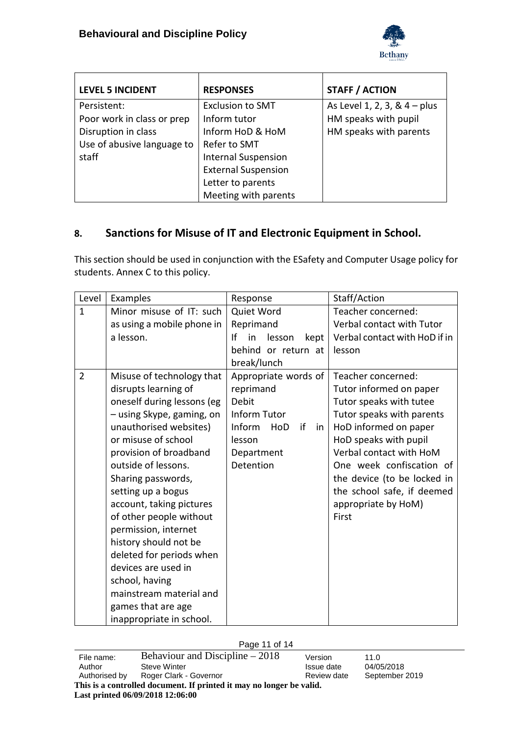

| <b>LEVEL 5 INCIDENT</b>    | <b>RESPONSES</b>           | <b>STAFF / ACTION</b>          |
|----------------------------|----------------------------|--------------------------------|
| Persistent:                | <b>Exclusion to SMT</b>    | As Level 1, 2, 3, & $4 - plus$ |
| Poor work in class or prep | Inform tutor               | HM speaks with pupil           |
| Disruption in class        | Inform HoD & HoM           | HM speaks with parents         |
| Use of abusive language to | Refer to SMT               |                                |
| staff                      | <b>Internal Suspension</b> |                                |
|                            | <b>External Suspension</b> |                                |
|                            | Letter to parents          |                                |
|                            | Meeting with parents       |                                |

## <span id="page-10-0"></span>**8. Sanctions for Misuse of IT and Electronic Equipment in School.**

This section should be used in conjunction with the ESafety and Computer Usage policy for students. Annex C to this policy.

| Level          | Examples                                                                                                                                                                                                                                                                                                                                                                                                                                                                                                             | Response                                                                                                                     | Staff/Action                                                                                                                                                                                                                                                                                                |
|----------------|----------------------------------------------------------------------------------------------------------------------------------------------------------------------------------------------------------------------------------------------------------------------------------------------------------------------------------------------------------------------------------------------------------------------------------------------------------------------------------------------------------------------|------------------------------------------------------------------------------------------------------------------------------|-------------------------------------------------------------------------------------------------------------------------------------------------------------------------------------------------------------------------------------------------------------------------------------------------------------|
| $\mathbf{1}$   | Minor misuse of IT: such<br>as using a mobile phone in<br>a lesson.                                                                                                                                                                                                                                                                                                                                                                                                                                                  | Quiet Word<br>Reprimand<br>Ιf<br>in<br>lesson<br>kept<br>behind or return at<br>break/lunch                                  | Teacher concerned:<br>Verbal contact with Tutor<br>Verbal contact with HoD if in<br>lesson                                                                                                                                                                                                                  |
| $\overline{2}$ | Misuse of technology that<br>disrupts learning of<br>oneself during lessons (eg<br>- using Skype, gaming, on<br>unauthorised websites)<br>or misuse of school<br>provision of broadband<br>outside of lessons.<br>Sharing passwords,<br>setting up a bogus<br>account, taking pictures<br>of other people without<br>permission, internet<br>history should not be<br>deleted for periods when<br>devices are used in<br>school, having<br>mainstream material and<br>games that are age<br>inappropriate in school. | Appropriate words of<br>reprimand<br>Debit<br>Inform Tutor<br>Inform<br>if<br>HoD<br>in<br>lesson<br>Department<br>Detention | Teacher concerned:<br>Tutor informed on paper<br>Tutor speaks with tutee<br>Tutor speaks with parents<br>HoD informed on paper<br>HoD speaks with pupil<br>Verbal contact with HoM<br>One week confiscation of<br>the device (to be locked in<br>the school safe, if deemed<br>appropriate by HoM)<br>First |

#### Page 11 of 14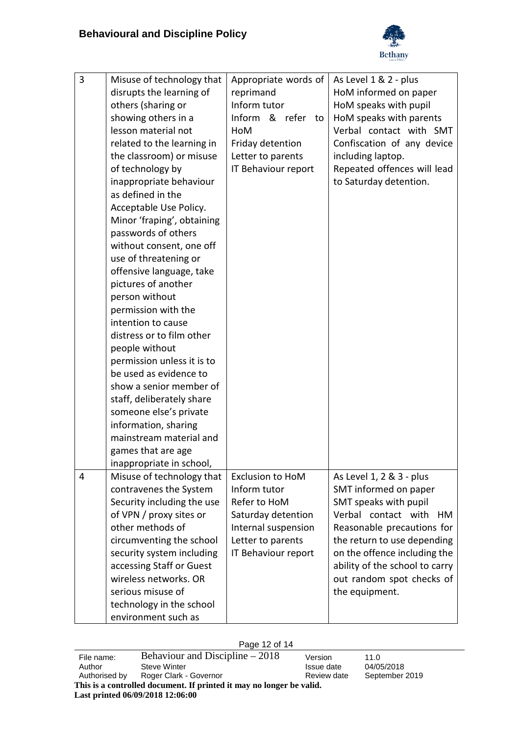

| 3 | Misuse of technology that  | Appropriate words of    | As Level 1 & 2 - plus          |
|---|----------------------------|-------------------------|--------------------------------|
|   | disrupts the learning of   | reprimand               | HoM informed on paper          |
|   | others (sharing or         | Inform tutor            | HoM speaks with pupil          |
|   | showing others in a        | Inform & refer to       | HoM speaks with parents        |
|   | lesson material not        | HoM                     | Verbal contact with SMT        |
|   | related to the learning in | Friday detention        | Confiscation of any device     |
|   | the classroom) or misuse   | Letter to parents       | including laptop.              |
|   | of technology by           | IT Behaviour report     | Repeated offences will lead    |
|   | inappropriate behaviour    |                         | to Saturday detention.         |
|   | as defined in the          |                         |                                |
|   | Acceptable Use Policy.     |                         |                                |
|   | Minor 'fraping', obtaining |                         |                                |
|   | passwords of others        |                         |                                |
|   | without consent, one off   |                         |                                |
|   | use of threatening or      |                         |                                |
|   | offensive language, take   |                         |                                |
|   | pictures of another        |                         |                                |
|   | person without             |                         |                                |
|   | permission with the        |                         |                                |
|   | intention to cause         |                         |                                |
|   | distress or to film other  |                         |                                |
|   | people without             |                         |                                |
|   | permission unless it is to |                         |                                |
|   | be used as evidence to     |                         |                                |
|   | show a senior member of    |                         |                                |
|   | staff, deliberately share  |                         |                                |
|   | someone else's private     |                         |                                |
|   | information, sharing       |                         |                                |
|   | mainstream material and    |                         |                                |
|   | games that are age         |                         |                                |
|   | inappropriate in school,   |                         |                                |
| 4 | Misuse of technology that  | <b>Exclusion to HoM</b> | As Level 1, 2 & 3 - plus       |
|   | contravenes the System     | Inform tutor            | SMT informed on paper          |
|   | Security including the use | Refer to HoM            | SMT speaks with pupil          |
|   | of VPN / proxy sites or    | Saturday detention      | Verbal contact with<br>HM      |
|   | other methods of           | Internal suspension     | Reasonable precautions for     |
|   | circumventing the school   | Letter to parents       | the return to use depending    |
|   | security system including  | IT Behaviour report     | on the offence including the   |
|   | accessing Staff or Guest   |                         | ability of the school to carry |
|   | wireless networks. OR      |                         | out random spot checks of      |
|   | serious misuse of          |                         | the equipment.                 |
|   | technology in the school   |                         |                                |
|   | environment such as        |                         |                                |

#### Page 12 of 14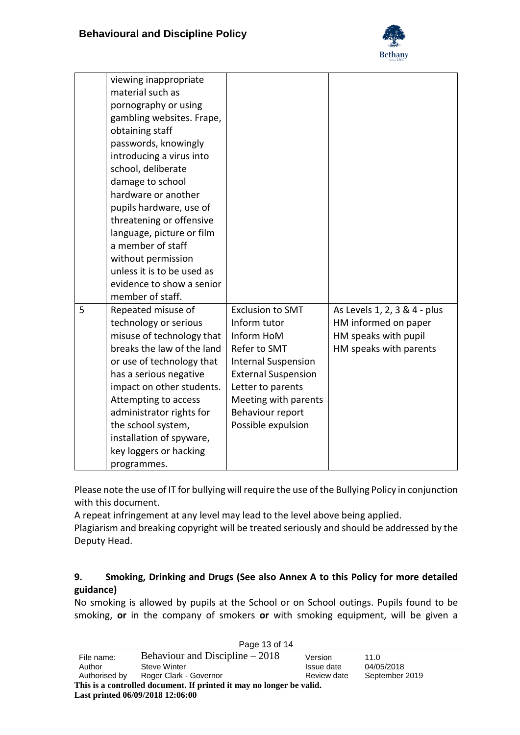

|   | viewing inappropriate<br>material such as<br>pornography or using<br>gambling websites. Frape,<br>obtaining staff<br>passwords, knowingly<br>introducing a virus into<br>school, deliberate<br>damage to school<br>hardware or another<br>pupils hardware, use of<br>threatening or offensive<br>language, picture or film<br>a member of staff<br>without permission<br>unless it is to be used as |                                                                                                                                                                                                                          |                                                                                                        |
|---|-----------------------------------------------------------------------------------------------------------------------------------------------------------------------------------------------------------------------------------------------------------------------------------------------------------------------------------------------------------------------------------------------------|--------------------------------------------------------------------------------------------------------------------------------------------------------------------------------------------------------------------------|--------------------------------------------------------------------------------------------------------|
|   | evidence to show a senior<br>member of staff.                                                                                                                                                                                                                                                                                                                                                       |                                                                                                                                                                                                                          |                                                                                                        |
| 5 | Repeated misuse of<br>technology or serious<br>misuse of technology that<br>breaks the law of the land<br>or use of technology that<br>has a serious negative<br>impact on other students.<br>Attempting to access<br>administrator rights for<br>the school system,<br>installation of spyware,<br>key loggers or hacking<br>programmes.                                                           | <b>Exclusion to SMT</b><br>Inform tutor<br>Inform HoM<br>Refer to SMT<br><b>Internal Suspension</b><br><b>External Suspension</b><br>Letter to parents<br>Meeting with parents<br>Behaviour report<br>Possible expulsion | As Levels 1, 2, 3 & 4 - plus<br>HM informed on paper<br>HM speaks with pupil<br>HM speaks with parents |

Please note the use of IT for bullying will require the use of the Bullying Policy in conjunction with this document.

A repeat infringement at any level may lead to the level above being applied.

Plagiarism and breaking copyright will be treated seriously and should be addressed by the Deputy Head.

## <span id="page-12-0"></span>**9. Smoking, Drinking and Drugs (See also Annex A to this Policy for more detailed guidance)**

No smoking is allowed by pupils at the School or on School outings. Pupils found to be smoking, **or** in the company of smokers **or** with smoking equipment, will be given a